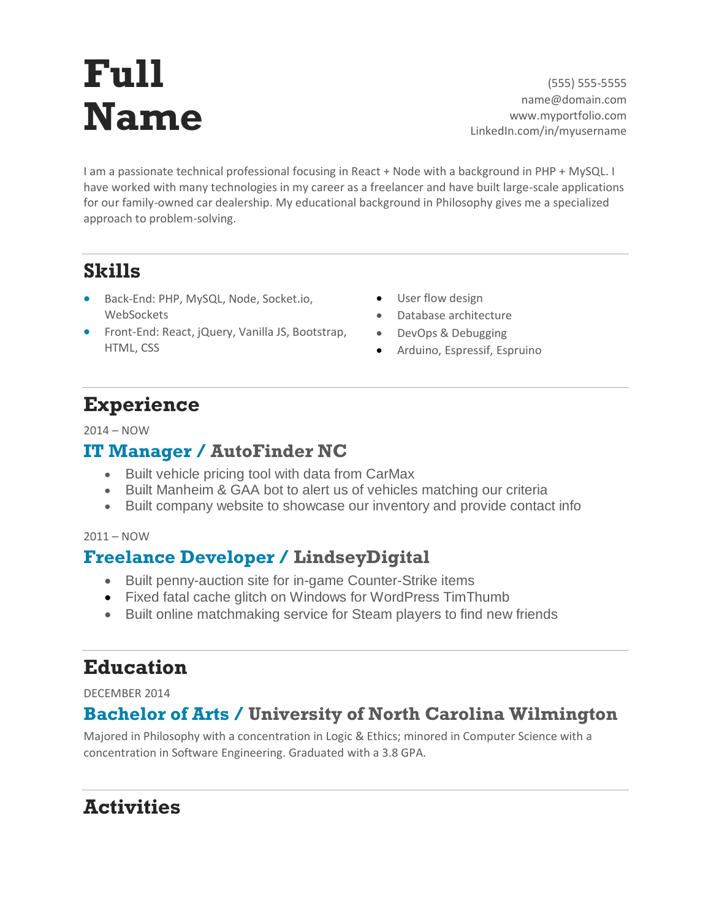# **Full Name**

(555) 555-5555 name@domain.com www.myportfolio.com LinkedIn.com/in/myusername

I am a passionate technical professional focusing in React + Node with a background in PHP + MySQL. I have worked with many technologies in my career as a freelancer and have built large-scale applications for our family-owned car dealership. My educational background in Philosophy gives me a specialized approach to problem-solving.

## **Skills**

- Back-End: PHP, MySQL, Node, Socket.io, **WebSockets**
- Front-End: React, jQuery, Vanilla JS, Bootstrap, HTML, CSS
- User flow design
- Database architecture
- DevOps & Debugging
- Arduino, Espressif, Espruino

# **Experience**

#### 2014 – NOW

### **IT Manager / AutoFinder NC**

- Built vehicle pricing tool with data from CarMax
- Built Manheim & GAA bot to alert us of vehicles matching our criteria
- Built company website to showcase our inventory and provide contact info

#### 2011 – NOW

## **Freelance Developer / LindseyDigital**

- Built penny-auction site for in-game Counter-Strike items
- Fixed fatal cache glitch on Windows for WordPress TimThumb
- Built online matchmaking service for Steam players to find new friends

# **Education**

DECEMBER 2014

## **Bachelor of Arts / University of North Carolina Wilmington**

Majored in Philosophy with a concentration in Logic & Ethics; minored in Computer Science with a concentration in Software Engineering. Graduated with a 3.8 GPA.

# **Activities**